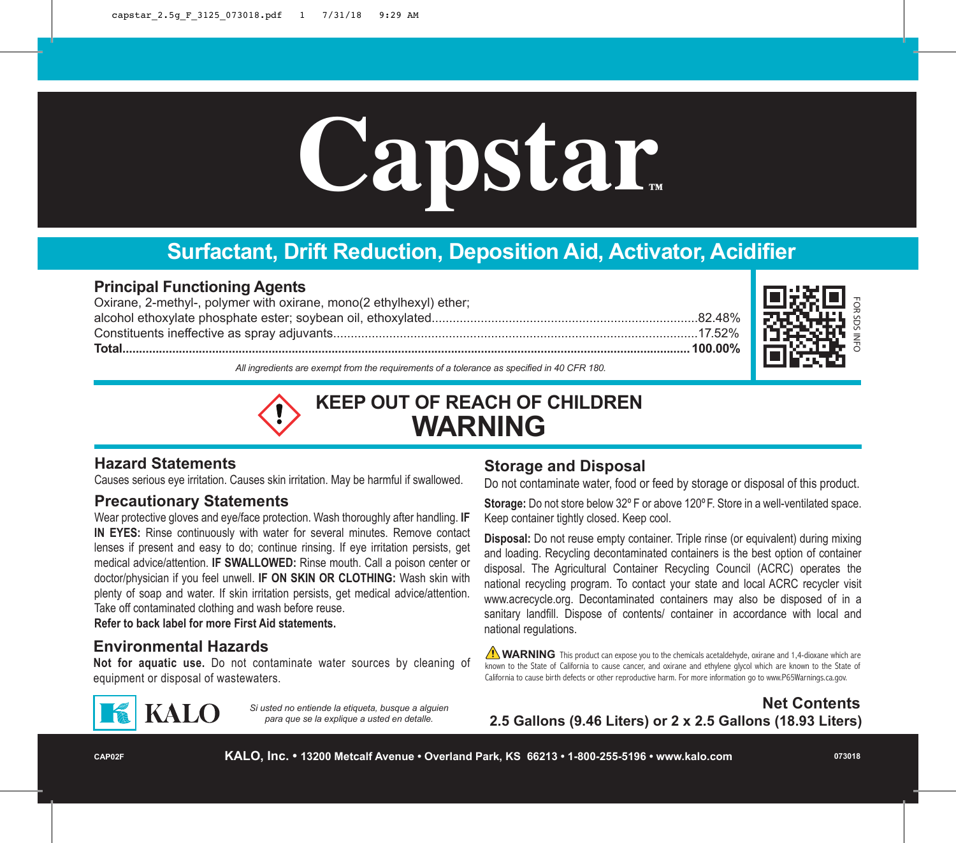# **Capstar**

# **Surfactant, Drift Reduction, Deposition Aid, Activator, Acidifier**

#### **Principal Functioning Agents**

Oxirane, 2-methyl-, polymer with oxirane, mono(2 ethylhexyl) ether; alcohol ethoxylate phosphate ester; soybean oil, ethoxylated............................................................................82.48% Constituents ineffective as spray adjuvants........................................................................................................17.52% **Total...........................................................................................................................................................................100.00%**



*All ingredients are exempt from the requirements of a tolerance as specified in 40 CFR 180.*

# **KEEP OUT OF REACH OF CHILDREN WARNING**

#### **Hazard Statements**

Causes serious eye irritation. Causes skin irritation. May be harmful if swallowed.

#### **Precautionary Statements**

Wear protective gloves and eye/face protection. Wash thoroughly after handling. **IF IN EYES:** Rinse continuously with water for several minutes. Remove contact lenses if present and easy to do; continue rinsing. If eye irritation persists, get medical advice/attention. **IF SWALLOWED:** Rinse mouth. Call a poison center or doctor/physician if you feel unwell. **IF ON SKIN OR CLOTHING:** Wash skin with plenty of soap and water. If skin irritation persists, get medical advice/attention. Take off contaminated clothing and wash before reuse.

**Refer to back label for more First Aid statements.**

#### **Environmental Hazards**

**Not for aquatic use.** Do not contaminate water sources by cleaning of equipment or disposal of wastewaters.



*Si usted no entiende la etiqueta, busque a alguien para que se la explique a usted en detalle.*

#### **Storage and Disposal**

Do not contaminate water, food or feed by storage or disposal of this product.

**Storage:** Do not store below 32º F or above 120ºF. Store in a well-ventilated space. Keep container tightly closed. Keep cool.

**Disposal:** Do not reuse empty container. Triple rinse (or equivalent) during mixing and loading. Recycling decontaminated containers is the best option of container disposal. The Agricultural Container Recycling Council (ACRC) operates the national recycling program. To contact your state and local ACRC recycler visit www.acrecycle.org. Decontaminated containers may also be disposed of in a sanitary landfill. Dispose of contents/ container in accordance with local and national regulations.

**NARNING** This product can expose you to the chemicals acetaldehyde, oxirane and 1,4-dioxane which are known to the State of California to cause cancer, and oxirane and ethylene glycol which are known to the State of California to cause birth defects or other reproductive harm. For more information go to www.P65Warnings.ca.gov.

**Net Contents 2.5 Gallons (9.46 Liters) or 2 x 2.5 Gallons (18.93 Liters)**

**CAP02F**

**KALO, Inc. • 13200 Metcalf Avenue • Overland Park, KS 66213 • 1-800-255-5196 • www.kalo.com**